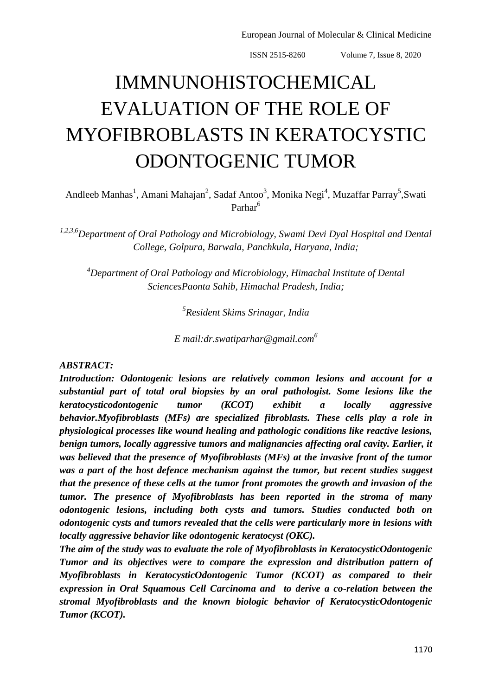# IMMNUNOHISTOCHEMICAL EVALUATION OF THE ROLE OF MYOFIBROBLASTS IN KERATOCYSTIC ODONTOGENIC TUMOR

Andleeb Manhas<sup>1</sup>, Amani Mahajan<sup>2</sup>, Sadaf Antoo<sup>3</sup>, Monika Negi<sup>4</sup>, Muzaffar Parray<sup>5</sup>,Swati Parhar<sup>6</sup>

*1,2,3,6Department of Oral Pathology and Microbiology, Swami Devi Dyal Hospital and Dental College, Golpura, Barwala, Panchkula, Haryana, India;*

*<sup>4</sup>Department of Oral Pathology and Microbiology, Himachal Institute of Dental SciencesPaonta Sahib, Himachal Pradesh, India;*

*5 Resident Skims Srinagar, India*

*E mail:dr.swatiparhar@gmail.com<sup>6</sup>*

#### *ABSTRACT:*

*Introduction: Odontogenic lesions are relatively common lesions and account for a substantial part of total oral biopsies by an oral pathologist. Some lesions like the keratocysticodontogenic tumor (KCOT) exhibit a locally aggressive behavior.Myofibroblasts (MFs) are specialized fibroblasts. These cells play a role in physiological processes like wound healing and pathologic conditions like reactive lesions, benign tumors, locally aggressive tumors and malignancies affecting oral cavity. Earlier, it was believed that the presence of Myofibroblasts (MFs) at the invasive front of the tumor was a part of the host defence mechanism against the tumor, but recent studies suggest that the presence of these cells at the tumor front promotes the growth and invasion of the tumor. The presence of Myofibroblasts has been reported in the stroma of many odontogenic lesions, including both cysts and tumors. Studies conducted both on odontogenic cysts and tumors revealed that the cells were particularly more in lesions with locally aggressive behavior like odontogenic keratocyst (OKC).*

*The aim of the study was to evaluate the role of Myofibroblasts in KeratocysticOdontogenic Tumor and its objectives were to compare the expression and distribution pattern of Myofibroblasts in KeratocysticOdontogenic Tumor (KCOT) as compared to their expression in Oral Squamous Cell Carcinoma and to derive a co-relation between the stromal Myofibroblasts and the known biologic behavior of KeratocysticOdontogenic Tumor (KCOT).*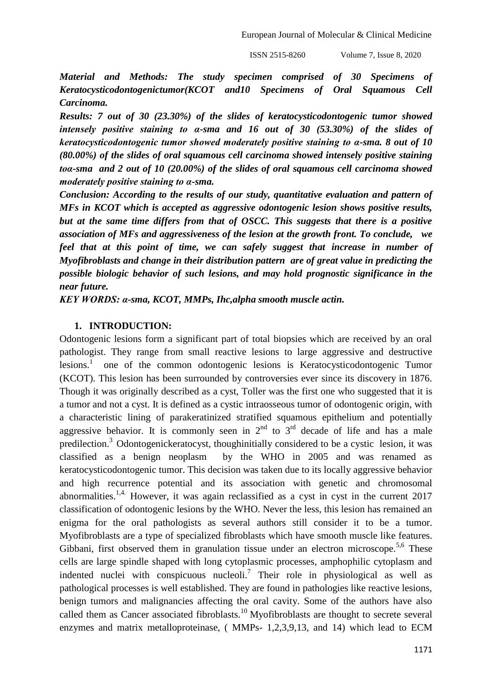*Material and Methods: The study specimen comprised of 30 Specimens of Keratocysticodontogenictumor(KCOT and10 Specimens of Oral Squamous Cell Carcinoma.*

*Results: 7 out of 30 (23.30%) of the slides of keratocysticodontogenic tumor showed intensely positive staining to α-sma and 16 out of 30 (53.30%) of the slides of keratocysticodontogenic tumor showed moderately positive staining to α-sma. 8 out of 10 (80.00%) of the slides of oral squamous cell carcinoma showed intensely positive staining toα-sma and 2 out of 10 (20.00%) of the slides of oral squamous cell carcinoma showed moderately positive staining to α-sma.*

*Conclusion: According to the results of our study, quantitative evaluation and pattern of MFs in KCOT which is accepted as aggressive odontogenic lesion shows positive results, but at the same time differs from that of OSCC. This suggests that there is a positive association of MFs and aggressiveness of the lesion at the growth front. To conclude, we feel that at this point of time, we can safely suggest that increase in number of Myofibroblasts and change in their distribution pattern are of great value in predicting the possible biologic behavior of such lesions, and may hold prognostic significance in the near future.* 

*KEY WORDS: α-sma, KCOT, MMPs, Ihc,alpha smooth muscle actin.*

#### **1. INTRODUCTION:**

Odontogenic lesions form a significant part of total biopsies which are received by an oral pathologist. They range from small reactive lesions to large aggressive and destructive  $l$ esions.<sup>1</sup> one of the common odontogenic lesions is Keratocysticodontogenic Tumor (KCOT). This lesion has been surrounded by controversies ever since its discovery in 1876. Though it was originally described as a cyst, Toller was the first one who suggested that it is a tumor and not a cyst. It is defined as a cystic intraosseous tumor of odontogenic origin, with a characteristic lining of parakeratinized stratified squamous epithelium and potentially aggressive behavior. It is commonly seen in  $2<sup>nd</sup>$  to  $3<sup>rd</sup>$  decade of life and has a male predilection.<sup>3</sup> Odontogenickeratocyst, thoughinitially considered to be a cystic lesion, it was classified as a benign neoplasm by the WHO in 2005 and was renamed as keratocysticodontogenic tumor. This decision was taken due to its locally aggressive behavior and high recurrence potential and its association with genetic and chromosomal abnormalities.<sup>1,4.</sup> However, it was again reclassified as a cyst in cyst in the current  $2017$ classification of odontogenic lesions by the WHO. Never the less, this lesion has remained an enigma for the oral pathologists as several authors still consider it to be a tumor. Myofibroblasts are a type of specialized fibroblasts which have smooth muscle like features. Gibbani, first observed them in granulation tissue under an electron microscope.<sup>5,6</sup> These cells are large spindle shaped with long cytoplasmic processes, amphophilic cytoplasm and indented nuclei with conspicuous nucleoli.<sup>7</sup> Their role in physiological as well as pathological processes is well established. They are found in pathologies like reactive lesions, benign tumors and malignancies affecting the oral cavity. Some of the authors have also called them as Cancer associated fibroblasts.<sup>10</sup> Myofibroblasts are thought to secrete several enzymes and matrix metalloproteinase, ( MMPs- 1,2,3,9,13, and 14) which lead to ECM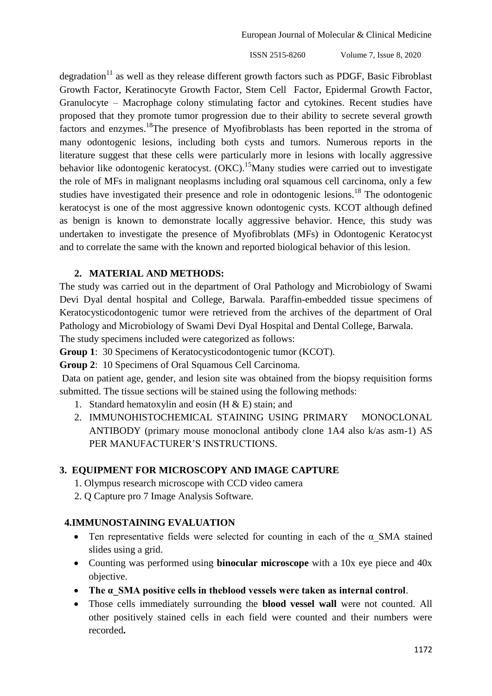degradation<sup>11</sup> as well as they release different growth factors such as PDGF, Basic Fibroblast Growth Factor, Keratinocyte Growth Factor, Stem Cell Factor, Epidermal Growth Factor, Granulocyte – Macrophage colony stimulating factor and cytokines. Recent studies have proposed that they promote tumor progression due to their ability to secrete several growth factors and enzymes.<sup>18</sup>The presence of Myofibroblasts has been reported in the stroma of many odontogenic lesions, including both cysts and tumors. Numerous reports in the literature suggest that these cells were particularly more in lesions with locally aggressive behavior like odontogenic keratocyst. (OKC).<sup>15</sup>Many studies were carried out to investigate the role of MFs in malignant neoplasms including oral squamous cell carcinoma, only a few studies have investigated their presence and role in odontogenic lesions.<sup>18</sup> The odontogenic keratocyst is one of the most aggressive known odontogenic cysts. KCOT although defined as benign is known to demonstrate locally aggressive behavior. Hence, this study was undertaken to investigate the presence of Myofibroblats (MFs) in Odontogenic Keratocyst and to correlate the same with the known and reported biological behavior of this lesion.

#### **2. MATERIAL AND METHODS:**

The study was carried out in the department of Oral Pathology and Microbiology of Swami Devi Dyal dental hospital and College, Barwala. Paraffin-embedded tissue specimens of Keratocysticodontogenic tumor were retrieved from the archives of the department of Oral Pathology and Microbiology of Swami Devi Dyal Hospital and Dental College, Barwala.

The study specimens included were categorized as follows:

**Group 1**: 30 Specimens of Keratocysticodontogenic tumor (KCOT).

**Group 2**: 10 Specimens of Oral Squamous Cell Carcinoma.

Data on patient age, gender, and lesion site was obtained from the biopsy requisition forms submitted. The tissue sections will be stained using the following methods:

- 1. Standard hematoxylin and eosin  $(H & E)$  stain; and
- 2. IMMUNOHISTOCHEMICAL STAINING USING PRIMARY MONOCLONAL ANTIBODY (primary mouse monoclonal antibody clone 1A4 also k/as asm-1) AS PER MANUFACTURER'S INSTRUCTIONS.

## **3. EQUIPMENT FOR MICROSCOPY AND IMAGE CAPTURE**

- 1. Olympus research microscope with CCD video camera
- 2. Q Capture pro 7 Image Analysis Software.

## **4.IMMUNOSTAINING EVALUATION**

- Ten representative fields were selected for counting in each of the  $\alpha$  SMA stained slides using a grid.
- Counting was performed using **binocular microscope** with a 10x eye piece and 40x objective.
- **The α\_SMA positive cells in theblood vessels were taken as internal control**.
- Those cells immediately surrounding the **blood vessel wall** were not counted. All other positively stained cells in each field were counted and their numbers were recorded**.**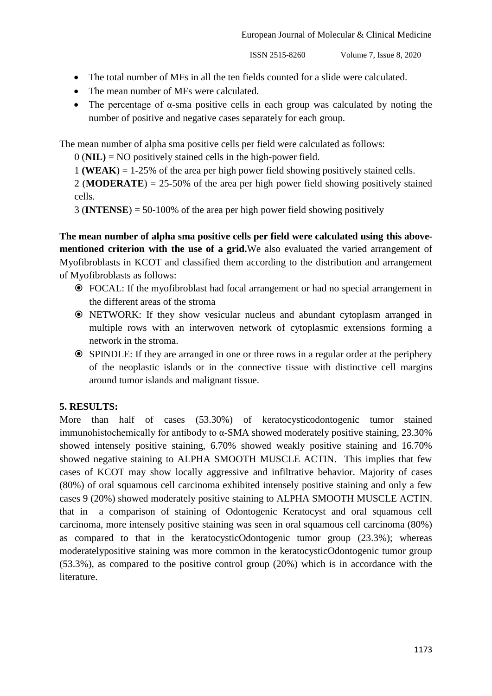- The total number of MFs in all the ten fields counted for a slide were calculated.
- The mean number of MFs were calculated.
- The percentage of  $\alpha$ -sma positive cells in each group was calculated by noting the number of positive and negative cases separately for each group.

The mean number of alpha sma positive cells per field were calculated as follows:

0 (**NIL)** = NO positively stained cells in the high-power field.

1 **(WEAK**) = 1-25% of the area per high power field showing positively stained cells.

2 (**MODERATE**) = 25-50% of the area per high power field showing positively stained cells.

3 (**INTENSE**) = 50-100% of the area per high power field showing positively

**The mean number of alpha sma positive cells per field were calculated using this abovementioned criterion with the use of a grid.**We also evaluated the varied arrangement of Myofibroblasts in KCOT and classified them according to the distribution and arrangement of Myofibroblasts as follows:

- FOCAL: If the myofibroblast had focal arrangement or had no special arrangement in the different areas of the stroma
- NETWORK: If they show vesicular nucleus and abundant cytoplasm arranged in multiple rows with an interwoven network of cytoplasmic extensions forming a network in the stroma.
- SPINDLE: If they are arranged in one or three rows in a regular order at the periphery of the neoplastic islands or in the connective tissue with distinctive cell margins around tumor islands and malignant tissue.

## **5. RESULTS:**

More than half of cases (53.30%) of keratocysticodontogenic tumor stained immunohistochemically for antibody to  $\alpha$ -SMA showed moderately positive staining, 23.30% showed intensely positive staining, 6.70% showed weakly positive staining and 16.70% showed negative staining to ALPHA SMOOTH MUSCLE ACTIN. This implies that few cases of KCOT may show locally aggressive and infiltrative behavior. Majority of cases (80%) of oral squamous cell carcinoma exhibited intensely positive staining and only a few cases 9 (20%) showed moderately positive staining to ALPHA SMOOTH MUSCLE ACTIN. that in a comparison of staining of Odontogenic Keratocyst and oral squamous cell carcinoma, more intensely positive staining was seen in oral squamous cell carcinoma (80%) as compared to that in the keratocysticOdontogenic tumor group (23.3%); whereas moderatelypositive staining was more common in the keratocysticOdontogenic tumor group (53.3%), as compared to the positive control group (20%) which is in accordance with the literature.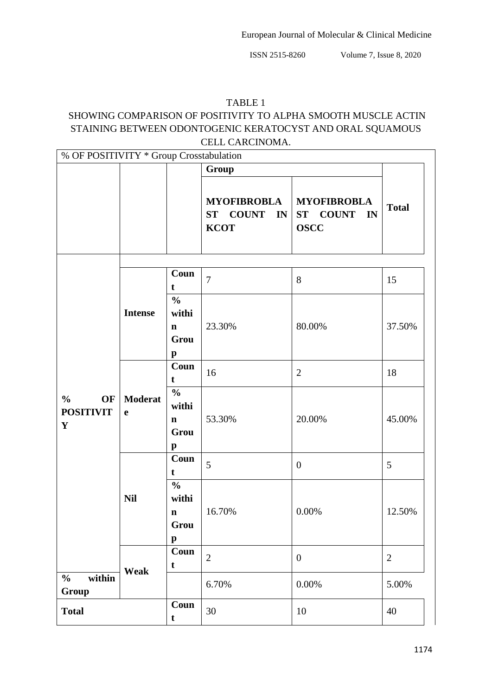# TABLE 1

# SHOWING COMPARISON OF POSITIVITY TO ALPHA SMOOTH MUSCLE ACTIN STAINING BETWEEN ODONTOGENIC KERATOCYST AND ORAL SQUAMOUS CELL CARCINOMA.

| % OF POSITIVITY * Group Crosstabulation                |                               |                                                               |                                                  |                                                  |                |  |
|--------------------------------------------------------|-------------------------------|---------------------------------------------------------------|--------------------------------------------------|--------------------------------------------------|----------------|--|
|                                                        |                               |                                                               | Group                                            |                                                  |                |  |
|                                                        |                               |                                                               | <b>MYOFIBROBLA</b><br>ST COUNT IN<br><b>KCOT</b> | <b>MYOFIBROBLA</b><br>ST COUNT IN<br><b>OSCC</b> | <b>Total</b>   |  |
|                                                        | <b>Intense</b>                | Coun<br>t                                                     | $\overline{7}$                                   | 8                                                | 15             |  |
|                                                        |                               | $\frac{0}{0}$<br>withi<br>$\mathbf n$<br>Grou<br>$\mathbf{p}$ | 23.30%                                           | 80.00%                                           | 37.50%         |  |
|                                                        | <b>Moderat</b><br>$\mathbf e$ | Coun<br>t                                                     | 16                                               | $\mathbf{2}$                                     | 18             |  |
| $\frac{0}{0}$<br>OF<br><b>POSITIVIT</b><br>$\mathbf Y$ |                               | $\frac{0}{0}$<br>withi<br>$\mathbf n$<br>Grou<br>$\mathbf{p}$ | 53.30%                                           | 20.00%                                           | 45.00%         |  |
|                                                        | <b>Nil</b><br>Weak            | Coun<br>t                                                     | 5                                                | $\boldsymbol{0}$                                 | 5              |  |
|                                                        |                               | $\frac{0}{0}$<br>withi<br>$\mathbf n$<br>Grou<br>$\mathbf{p}$ | 16.70%                                           | 0.00%                                            | 12.50%         |  |
|                                                        |                               | Coun<br>t                                                     | $\overline{2}$                                   | $\boldsymbol{0}$                                 | $\overline{2}$ |  |
| within<br>$\frac{0}{0}$<br>Group                       |                               |                                                               | 6.70%                                            | 0.00%                                            | 5.00%          |  |
| <b>Total</b>                                           |                               | Coun<br>t                                                     | 30                                               | 10                                               | 40             |  |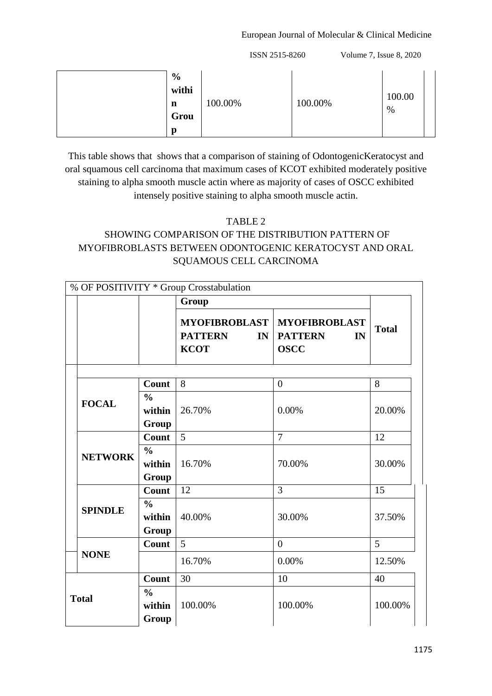#### European Journal of Molecular & Clinical Medicine

ISSN 2515-8260 Volume 7, Issue 8, 2020

|  | $\frac{6}{9}$<br>withi<br>n<br>Grou<br>p | 100.00% | 100.00% | 100.00<br>% |  |
|--|------------------------------------------|---------|---------|-------------|--|
|--|------------------------------------------|---------|---------|-------------|--|

This table shows that shows that a comparison of staining of OdontogenicKeratocyst and oral squamous cell carcinoma that maximum cases of KCOT exhibited moderately positive staining to alpha smooth muscle actin where as majority of cases of OSCC exhibited intensely positive staining to alpha smooth muscle actin.

#### TABLE 2

# SHOWING COMPARISON OF THE DISTRIBUTION PATTERN OF MYOFIBROBLASTS BETWEEN ODONTOGENIC KERATOCYST AND ORAL SQUAMOUS CELL CARCINOMA

|  |                |                         | % OF POSITIVITY * Group Crosstabulation |                                                       |              |
|--|----------------|-------------------------|-----------------------------------------|-------------------------------------------------------|--------------|
|  |                |                         | Group                                   |                                                       |              |
|  |                |                         | <b>PATTERN</b><br>IN                    | MYOFIBROBLAST   MYOFIBROBLAST<br><b>PATTERN</b><br>IN | <b>Total</b> |
|  |                |                         | <b>KCOT</b>                             | <b>OSCC</b>                                           |              |
|  |                |                         |                                         |                                                       |              |
|  | <b>FOCAL</b>   | Count                   | 8                                       | $\overline{0}$                                        | 8            |
|  |                | $\frac{6}{6}$           |                                         |                                                       |              |
|  |                | within                  | 26.70%                                  | 0.00%                                                 | 20.00%       |
|  |                | Group                   |                                         |                                                       |              |
|  |                | Count                   | 5                                       | $\overline{7}$                                        | 12           |
|  | <b>NETWORK</b> | $\frac{0}{0}$           |                                         |                                                       |              |
|  |                | within                  | 16.70%                                  | 70.00%                                                | 30.00%       |
|  |                | Group                   |                                         |                                                       |              |
|  | <b>SPINDLE</b> | Count                   | 12                                      | 3                                                     | 15           |
|  |                | $\frac{0}{0}$<br>within | 40.00%                                  | 30.00%                                                | 37.50%       |
|  |                | Group                   |                                         |                                                       |              |
|  |                | Count                   | 5                                       | $\overline{0}$                                        | 5            |
|  | <b>NONE</b>    |                         | 16.70%                                  | 0.00%                                                 | 12.50%       |
|  |                | <b>Count</b>            | 30                                      | 10                                                    | 40           |
|  | <b>Total</b>   | $\frac{0}{0}$           |                                         |                                                       |              |
|  |                | within                  | 100.00%                                 | 100.00%                                               | 100.00%      |
|  |                | Group                   |                                         |                                                       |              |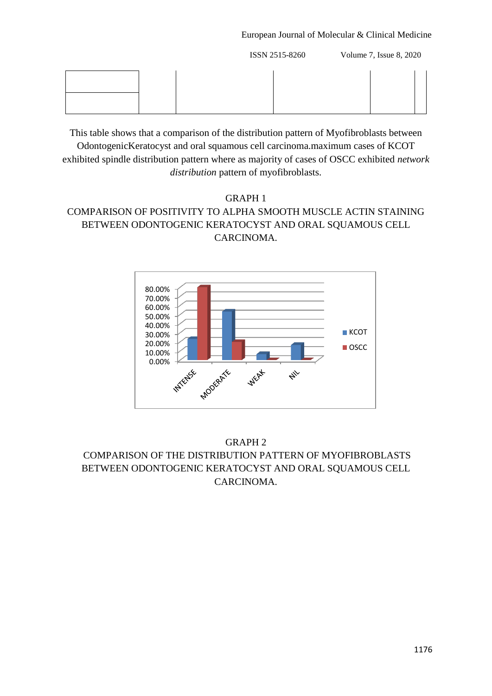#### European Journal of Molecular & Clinical Medicine

ISSN 2515-8260 Volume 7, Issue 8, 2020

This table shows that a comparison of the distribution pattern of Myofibroblasts between OdontogenicKeratocyst and oral squamous cell carcinoma.maximum cases of KCOT exhibited spindle distribution pattern where as majority of cases of OSCC exhibited *network distribution* pattern of myofibroblasts.

# GRAPH 1 COMPARISON OF POSITIVITY TO ALPHA SMOOTH MUSCLE ACTIN STAINING BETWEEN ODONTOGENIC KERATOCYST AND ORAL SQUAMOUS CELL CARCINOMA.



GRAPH 2 COMPARISON OF THE DISTRIBUTION PATTERN OF MYOFIBROBLASTS BETWEEN ODONTOGENIC KERATOCYST AND ORAL SQUAMOUS CELL CARCINOMA.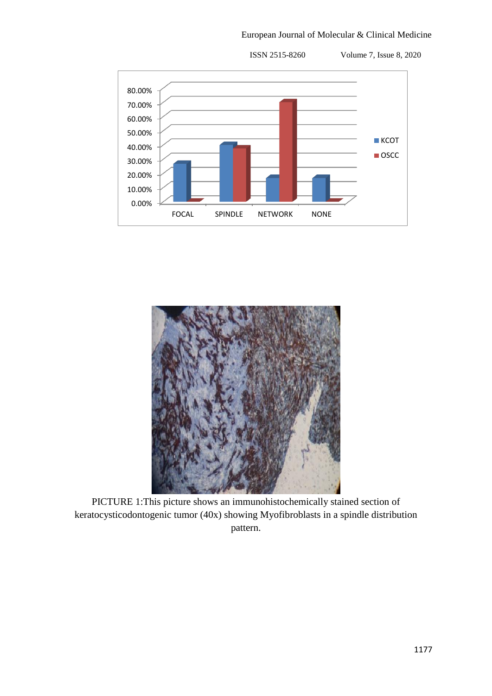European Journal of Molecular & Clinical Medicine





PICTURE 1:This picture shows an immunohistochemically stained section of keratocysticodontogenic tumor (40x) showing Myofibroblasts in a spindle distribution pattern.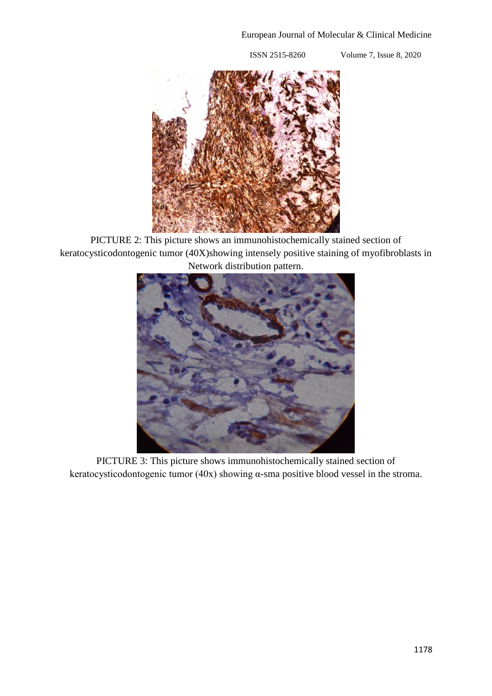

PICTURE 2: This picture shows an immunohistochemically stained section of keratocysticodontogenic tumor (40X)showing intensely positive staining of myofibroblasts in Network distribution pattern.



PICTURE 3: This picture shows immunohistochemically stained section of keratocysticodontogenic tumor (40x) showing α-sma positive blood vessel in the stroma.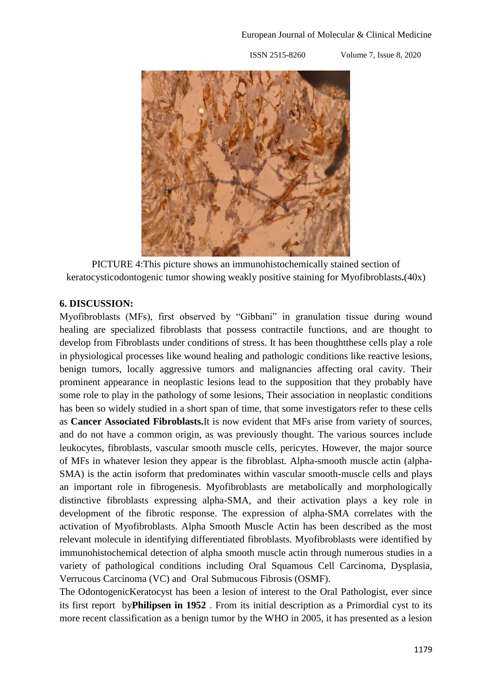

PICTURE 4:This picture shows an immunohistochemically stained section of keratocysticodontogenic tumor showing weakly positive staining for Myofibroblasts**.**(40x)

## **6. DISCUSSION:**

Myofibroblasts (MFs), first observed by "Gibbani" in granulation tissue during wound healing are specialized fibroblasts that possess contractile functions, and are thought to develop from Fibroblasts under conditions of stress. It has been thoughtthese cells play a role in physiological processes like wound healing and pathologic conditions like reactive lesions, benign tumors, locally aggressive tumors and malignancies affecting oral cavity. Their prominent appearance in neoplastic lesions lead to the supposition that they probably have some role to play in the pathology of some lesions, Their association in neoplastic conditions has been so widely studied in a short span of time, that some investigators refer to these cells as **Cancer Associated Fibroblasts.**It is now evident that MFs arise from variety of sources, and do not have a common origin, as was previously thought. The various sources include leukocytes, fibroblasts, vascular smooth muscle cells, pericytes. However, the major source of MFs in whatever lesion they appear is the fibroblast. Alpha-smooth muscle actin (alpha-SMA) is the actin isoform that predominates within vascular smooth-muscle cells and plays an important role in fibrogenesis. Myofibroblasts are metabolically and morphologically distinctive fibroblasts expressing alpha-SMA, and their activation plays a key role in development of the fibrotic response. The expression of alpha-SMA correlates with the activation of Myofibroblasts. Alpha Smooth Muscle Actin has been described as the most relevant molecule in identifying differentiated fibroblasts. Myofibroblasts were identified by immunohistochemical detection of alpha smooth muscle actin through numerous studies in a variety of pathological conditions including Oral Squamous Cell Carcinoma, Dysplasia, Verrucous Carcinoma (VC) and Oral Submucous Fibrosis (OSMF).

The OdontogenicKeratocyst has been a lesion of interest to the Oral Pathologist, ever since its first report by**Philipsen in 1952** . From its initial description as a Primordial cyst to its more recent classification as a benign tumor by the WHO in 2005, it has presented as a lesion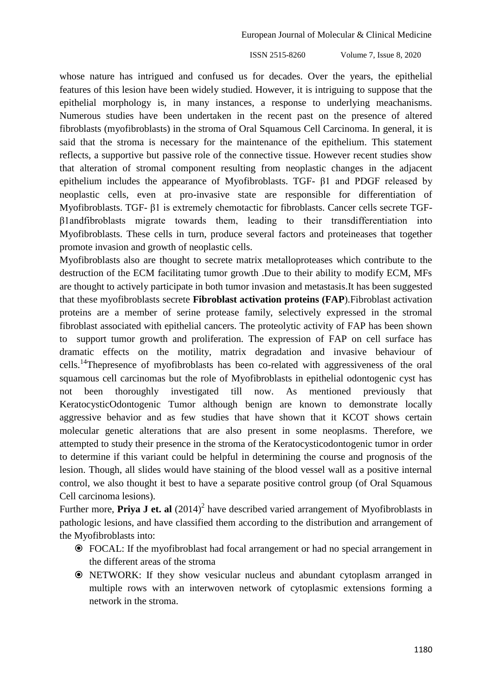whose nature has intrigued and confused us for decades. Over the years, the epithelial features of this lesion have been widely studied. However, it is intriguing to suppose that the epithelial morphology is, in many instances, a response to underlying meachanisms. Numerous studies have been undertaken in the recent past on the presence of altered fibroblasts (myofibroblasts) in the stroma of Oral Squamous Cell Carcinoma. In general, it is said that the stroma is necessary for the maintenance of the epithelium. This statement reflects, a supportive but passive role of the connective tissue. However recent studies show that alteration of stromal component resulting from neoplastic changes in the adjacent epithelium includes the appearance of Myofibroblasts. TGF- β1 and PDGF released by neoplastic cells, even at pro-invasive state are responsible for differentiation of Myofibroblasts. TGF- β1 is extremely chemotactic for fibroblasts. Cancer cells secrete TGFβ1andfibroblasts migrate towards them, leading to their transdifferentiation into Myofibroblasts. These cells in turn, produce several factors and proteineases that together promote invasion and growth of neoplastic cells.

Myofibroblasts also are thought to secrete matrix metalloproteases which contribute to the destruction of the ECM facilitating tumor growth .Due to their ability to modify ECM, MFs are thought to actively participate in both tumor invasion and metastasis.It has been suggested that these myofibroblasts secrete **Fibroblast activation proteins (FAP**).Fibroblast activation proteins are a member of serine protease family, selectively expressed in the stromal fibroblast associated with epithelial cancers. The proteolytic activity of FAP has been shown to support tumor growth and proliferation. The expression of FAP on cell surface has dramatic effects on the motility, matrix degradation and invasive behaviour of cells.<sup>14</sup>Thepresence of myofibroblasts has been co-related with aggressiveness of the oral squamous cell carcinomas but the role of Myofibroblasts in epithelial odontogenic cyst has not been thoroughly investigated till now. As mentioned previously that KeratocysticOdontogenic Tumor although benign are known to demonstrate locally aggressive behavior and as few studies that have shown that it KCOT shows certain molecular genetic alterations that are also present in some neoplasms. Therefore, we attempted to study their presence in the stroma of the Keratocysticodontogenic tumor in order to determine if this variant could be helpful in determining the course and prognosis of the lesion. Though, all slides would have staining of the blood vessel wall as a positive internal control, we also thought it best to have a separate positive control group (of Oral Squamous Cell carcinoma lesions).

Further more, **Priya J et. al**  $(2014)^2$  have described varied arrangement of Myofibroblasts in pathologic lesions, and have classified them according to the distribution and arrangement of the Myofibroblasts into:

- FOCAL: If the myofibroblast had focal arrangement or had no special arrangement in the different areas of the stroma
- NETWORK: If they show vesicular nucleus and abundant cytoplasm arranged in multiple rows with an interwoven network of cytoplasmic extensions forming a network in the stroma.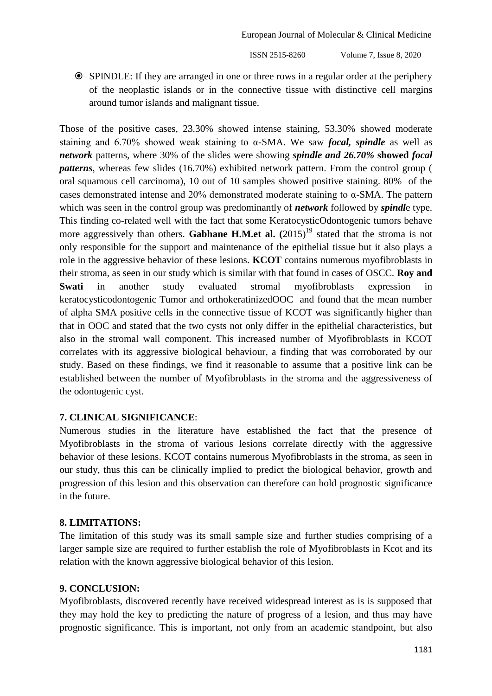SPINDLE: If they are arranged in one or three rows in a regular order at the periphery of the neoplastic islands or in the connective tissue with distinctive cell margins around tumor islands and malignant tissue.

Those of the positive cases, 23.30% showed intense staining, 53.30% showed moderate staining and 6.70% showed weak staining to α-SMA. We saw *focal, spindle* as well as *network* patterns, where 30% of the slides were showing *spindle and 26.70%* **showed** *focal patterns*, whereas few slides (16.70%) exhibited network pattern. From the control group ( oral squamous cell carcinoma), 10 out of 10 samples showed positive staining. 80% of the cases demonstrated intense and 20% demonstrated moderate staining to α-SMA. The pattern which was seen in the control group was predominantly of *network* followed by *spindl*e type. This finding co-related well with the fact that some KeratocysticOdontogenic tumors behave more aggressively than others. **Gabhane H.M.et al.**  $(2015)^{19}$  stated that the stroma is not only responsible for the support and maintenance of the epithelial tissue but it also plays a role in the aggressive behavior of these lesions. **KCOT** contains numerous myofibroblasts in their stroma, as seen in our study which is similar with that found in cases of OSCC. **Roy and Swati** in another study evaluated stromal myofibroblasts expression in keratocysticodontogenic Tumor and orthokeratinizedOOC and found that the mean number of alpha SMA positive cells in the connective tissue of KCOT was significantly higher than that in OOC and stated that the two cysts not only differ in the epithelial characteristics, but also in the stromal wall component. This increased number of Myofibroblasts in KCOT correlates with its aggressive biological behaviour, a finding that was corroborated by our study. Based on these findings, we find it reasonable to assume that a positive link can be established between the number of Myofibroblasts in the stroma and the aggressiveness of the odontogenic cyst.

#### **7. CLINICAL SIGNIFICANCE**:

Numerous studies in the literature have established the fact that the presence of Myofibroblasts in the stroma of various lesions correlate directly with the aggressive behavior of these lesions. KCOT contains numerous Myofibroblasts in the stroma, as seen in our study, thus this can be clinically implied to predict the biological behavior, growth and progression of this lesion and this observation can therefore can hold prognostic significance in the future.

#### **8. LIMITATIONS:**

The limitation of this study was its small sample size and further studies comprising of a larger sample size are required to further establish the role of Myofibroblasts in Kcot and its relation with the known aggressive biological behavior of this lesion.

#### **9. CONCLUSION:**

Myofibroblasts, discovered recently have received widespread interest as is is supposed that they may hold the key to predicting the nature of progress of a lesion, and thus may have prognostic significance. This is important, not only from an academic standpoint, but also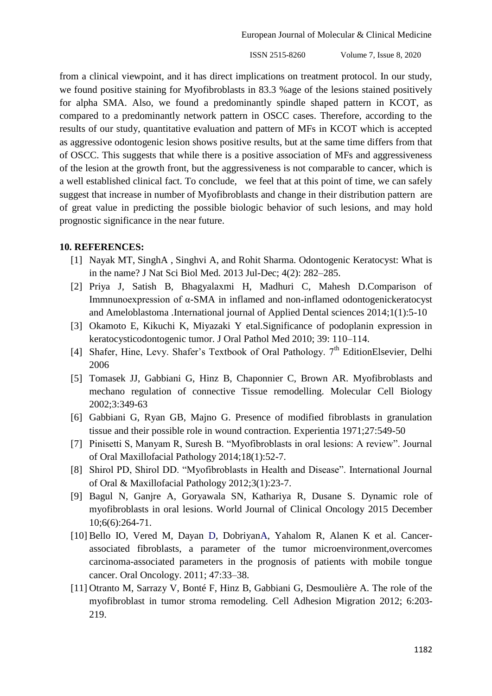European Journal of Molecular & Clinical Medicine

ISSN 2515-8260 Volume 7, Issue 8, 2020

from a clinical viewpoint, and it has direct implications on treatment protocol. In our study, we found positive staining for Myofibroblasts in 83.3 %age of the lesions stained positively for alpha SMA. Also, we found a predominantly spindle shaped pattern in KCOT, as compared to a predominantly network pattern in OSCC cases. Therefore, according to the results of our study, quantitative evaluation and pattern of MFs in KCOT which is accepted as aggressive odontogenic lesion shows positive results, but at the same time differs from that of OSCC. This suggests that while there is a positive association of MFs and aggressiveness of the lesion at the growth front, but the aggressiveness is not comparable to cancer, which is a well established clinical fact. To conclude, we feel that at this point of time, we can safely suggest that increase in number of Myofibroblasts and change in their distribution pattern are of great value in predicting the possible biologic behavior of such lesions, and may hold prognostic significance in the near future.

#### **10. REFERENCES:**

- [1] Nayak MT, [SinghA](http://www.ncbi.nlm.nih.gov/pubmed/?term=Singh%20A%5Bauth%5D) , [Singhvi](http://www.ncbi.nlm.nih.gov/pubmed/?term=Singhvi%20A%5Bauth%5D) A, and Rohit Sharma. Odontogenic Keratocyst: What is in the name? J Nat Sci Biol Med. 2013 Jul-Dec; 4(2): 282–285.
- [2] Priya J, Satish B, Bhagyalaxmi H, Madhuri C, Mahesh D.Comparison of Immnunoexpression of α-SMA in inflamed and non-inflamed odontogenickeratocyst and Ameloblastoma .International journal of Applied Dental sciences 2014;1(1):5-10
- [3] Okamoto E, Kikuchi K, Miyazaki Y etal.Significance of podoplanin expression in keratocysticodontogenic tumor. J Oral Pathol Med 2010; 39: 110–114.
- [4] Shafer, Hine, Levy. Shafer's Textbook of Oral Pathology.  $7<sup>th</sup>$  EditionElsevier, Delhi 2006
- [5] Tomasek JJ, Gabbiani G, Hinz B, Chaponnier C, Brown AR. Myofibroblasts and mechano regulation of connective Tissue remodelling. Molecular Cell Biology 2002;3:349-63
- [6] Gabbiani G, Ryan GB, Majno G. Presence of modified fibroblasts in granulation tissue and their possible role in wound contraction. Experientia 1971;27:549-50
- [7] Pinisetti S, Manyam R, Suresh B. "Myofibroblasts in oral lesions: A review". Journal of Oral Maxillofacial Pathology 2014;18(1):52-7.
- [8] Shirol PD, Shirol DD. "Myofibroblasts in Health and Disease". International Journal of Oral & Maxillofacial Pathology 2012;3(1):23-7.
- [9] Bagul N, Ganjre A, Goryawala SN, Kathariya R, Dusane S. Dynamic role of myofibroblasts in oral lesions. World Journal of Clinical Oncology 2015 December 10;6(6):264-71.
- [10] Bello IO, Vered M, Dayan D, DobriyanA, Yahalom R, Alanen K et al. Cancerassociated fibroblasts, a parameter of the tumor microenvironment,overcomes carcinoma-associated parameters in the prognosis of patients with mobile tongue cancer. Oral Oncology. 2011; 47:33–38.
- [11] Otranto M, Sarrazy V, Bonté F, Hinz B, Gabbiani G, Desmoulière A. The role of the myofibroblast in tumor stroma remodeling. Cell Adhesion Migration 2012; 6:203- 219.